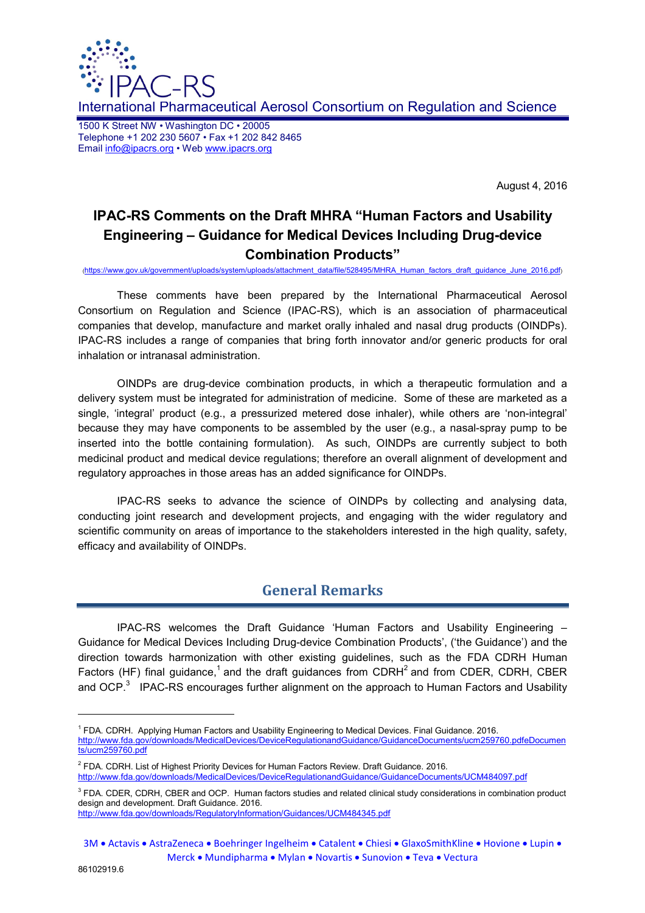

International Pharmaceutical Aerosol Consortium on Regulation and Science

1500 K Street NW • Washington DC • 20005 Telephone +1 202 230 5607 • Fax +1 202 842 8465 Email info@ipacrs.org • Web www.ipacrs.org

August 4, 2016

# **IPAC-RS Comments on the Draft MHRA "Human Factors and Usability Engineering – Guidance for Medical Devices Including Drug-device Combination Products"**

(https://www.gov.uk/government/uploads/system/uploads/attachment\_data/file/528495/MHRA\_Human\_factors\_draft\_guidance\_June\_2016.pdf)

These comments have been prepared by the International Pharmaceutical Aerosol Consortium on Regulation and Science (IPAC-RS), which is an association of pharmaceutical companies that develop, manufacture and market orally inhaled and nasal drug products (OINDPs). IPAC-RS includes a range of companies that bring forth innovator and/or generic products for oral inhalation or intranasal administration.

OINDPs are drug-device combination products, in which a therapeutic formulation and a delivery system must be integrated for administration of medicine. Some of these are marketed as a single, 'integral' product (e.g., a pressurized metered dose inhaler), while others are 'non-integral' because they may have components to be assembled by the user (e.g., a nasal-spray pump to be inserted into the bottle containing formulation). As such, OINDPs are currently subject to both medicinal product and medical device regulations; therefore an overall alignment of development and regulatory approaches in those areas has an added significance for OINDPs.

IPAC-RS seeks to advance the science of OINDPs by collecting and analysing data, conducting joint research and development projects, and engaging with the wider regulatory and scientific community on areas of importance to the stakeholders interested in the high quality, safety, efficacy and availability of OINDPs.

## **General Remarks**

IPAC-RS welcomes the Draft Guidance 'Human Factors and Usability Engineering – Guidance for Medical Devices Including Drug-device Combination Products', ('the Guidance') and the direction towards harmonization with other existing guidelines, such as the FDA CDRH Human Factors (HF) final guidance,<sup>1</sup> and the draft guidances from CDRH<sup>2</sup> and from CDER, CDRH, CBER and OCP.<sup>3</sup> IPAC-RS encourages further alignment on the approach to Human Factors and Usability

l

<sup>&</sup>lt;sup>1</sup> FDA. CDRH. Applying Human Factors and Usability Engineering to Medical Devices. Final Guidance. 2016. http://www.fda.gov/downloads/MedicalDevices/DeviceRegulationandGuidance/GuidanceDocuments/ucm259760.pdfeDocumen ts/ucm259760.pdf

<sup>&</sup>lt;sup>2</sup> FDA. CDRH. List of Highest Priority Devices for Human Factors Review. Draft Guidance. 2016.

http://www.fda.gov/downloads/MedicalDevices/DeviceRegulationandGuidance/GuidanceDocuments/UCM484097.pdf

<sup>&</sup>lt;sup>3</sup> FDA. CDER, CDRH, CBER and OCP. Human factors studies and related clinical study considerations in combination product design and development. Draft Guidance. 2016.

http://www.fda.gov/downloads/RegulatoryInformation/Guidances/UCM484345.pdf

<sup>3</sup>M • Actavis • AstraZeneca • Boehringer Ingelheim • Catalent • Chiesi • GlaxoSmithKline • Hovione • Lupin • Merck • Mundipharma • Mylan • Novartis • Sunovion • Teva • Vectura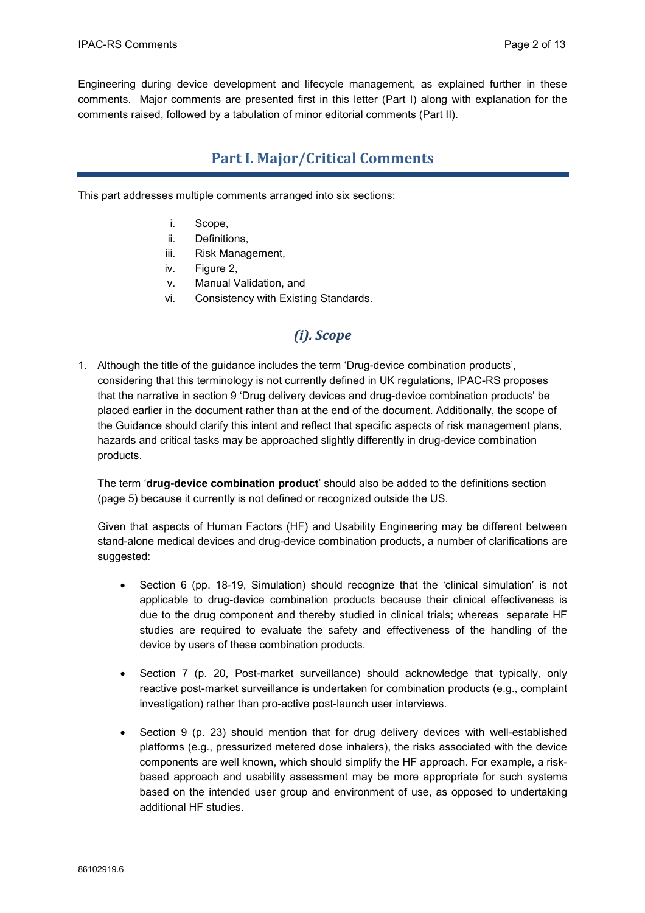Engineering during device development and lifecycle management, as explained further in these comments. Major comments are presented first in this letter (Part I) along with explanation for the comments raised, followed by a tabulation of minor editorial comments (Part II).

# **Part I. Major/Critical Comments**

This part addresses multiple comments arranged into six sections:

- i. Scope,
- ii. Definitions,
- iii. Risk Management,
- iv. Figure 2,
- v. Manual Validation, and
- vi. Consistency with Existing Standards.

# *(i). Scope*

1. Although the title of the guidance includes the term 'Drug-device combination products', considering that this terminology is not currently defined in UK regulations, IPAC-RS proposes that the narrative in section 9 'Drug delivery devices and drug-device combination products' be placed earlier in the document rather than at the end of the document. Additionally, the scope of the Guidance should clarify this intent and reflect that specific aspects of risk management plans, hazards and critical tasks may be approached slightly differently in drug-device combination products.

The term '**drug-device combination product**' should also be added to the definitions section (page 5) because it currently is not defined or recognized outside the US.

Given that aspects of Human Factors (HF) and Usability Engineering may be different between stand-alone medical devices and drug-device combination products, a number of clarifications are suggested:

- Section 6 (pp. 18-19, Simulation) should recognize that the 'clinical simulation' is not applicable to drug-device combination products because their clinical effectiveness is due to the drug component and thereby studied in clinical trials; whereas separate HF studies are required to evaluate the safety and effectiveness of the handling of the device by users of these combination products.
- Section 7 (p. 20, Post-market surveillance) should acknowledge that typically, only reactive post-market surveillance is undertaken for combination products (e.g., complaint investigation) rather than pro-active post-launch user interviews.
- Section 9 (p. 23) should mention that for drug delivery devices with well-established platforms (e.g., pressurized metered dose inhalers), the risks associated with the device components are well known, which should simplify the HF approach. For example, a riskbased approach and usability assessment may be more appropriate for such systems based on the intended user group and environment of use, as opposed to undertaking additional HF studies.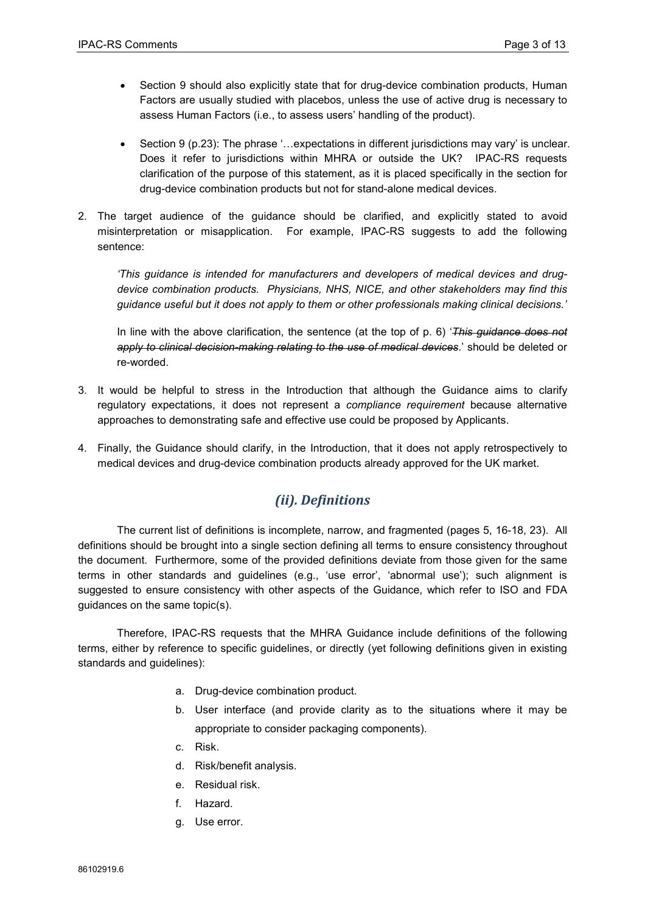- Section 9 should also explicitly state that for drug-device combination products, Human Factors are usually studied with placebos, unless the use of active drug is necessary to assess Human Factors (i.e., to assess users' handling of the product).
- Section 9 (p.23): The phrase '...expectations in different jurisdictions may vary' is unclear. Does it refer to jurisdictions within MHRA or outside the UK? IPAC-RS requests clarification of the purpose of this statement, as it is placed specifically in the section for drug-device combination products but not for stand-alone medical devices.
- 2. The target audience of the guidance should be clarified, and explicitly stated to avoid misinterpretation or misapplication. For example, IPAC-RS suggests to add the following sentence:

*'This guidance is intended for manufacturers and developers of medical devices and drugdevice combination products. Physicians, NHS, NICE, and other stakeholders may find this guidance useful but it does not apply to them or other professionals making clinical decisions.'* 

In line with the above clarification, the sentence (at the top of p. 6) '*This guidance does not apply to clinical decision-making relating to the use of medical devices*.' should be deleted or re-worded.

- 3. It would be helpful to stress in the Introduction that although the Guidance aims to clarify regulatory expectations, it does not represent a *compliance requirement* because alternative approaches to demonstrating safe and effective use could be proposed by Applicants.
- 4. Finally, the Guidance should clarify, in the Introduction, that it does not apply retrospectively to medical devices and drug-device combination products already approved for the UK market.

## *(ii). Definitions*

The current list of definitions is incomplete, narrow, and fragmented (pages 5, 16-18, 23). All definitions should be brought into a single section defining all terms to ensure consistency throughout the document. Furthermore, some of the provided definitions deviate from those given for the same terms in other standards and guidelines (e.g., 'use error', 'abnormal use'); such alignment is suggested to ensure consistency with other aspects of the Guidance, which refer to ISO and FDA guidances on the same topic(s).

Therefore, IPAC-RS requests that the MHRA Guidance include definitions of the following terms, either by reference to specific guidelines, or directly (yet following definitions given in existing standards and quidelines):

- a. Drug-device combination product.
- b. User interface (and provide clarity as to the situations where it may be appropriate to consider packaging components).
- c. Risk.
- d. Risk/benefit analysis.
- e. Residual risk.
- f. Hazard.
- g. Use error.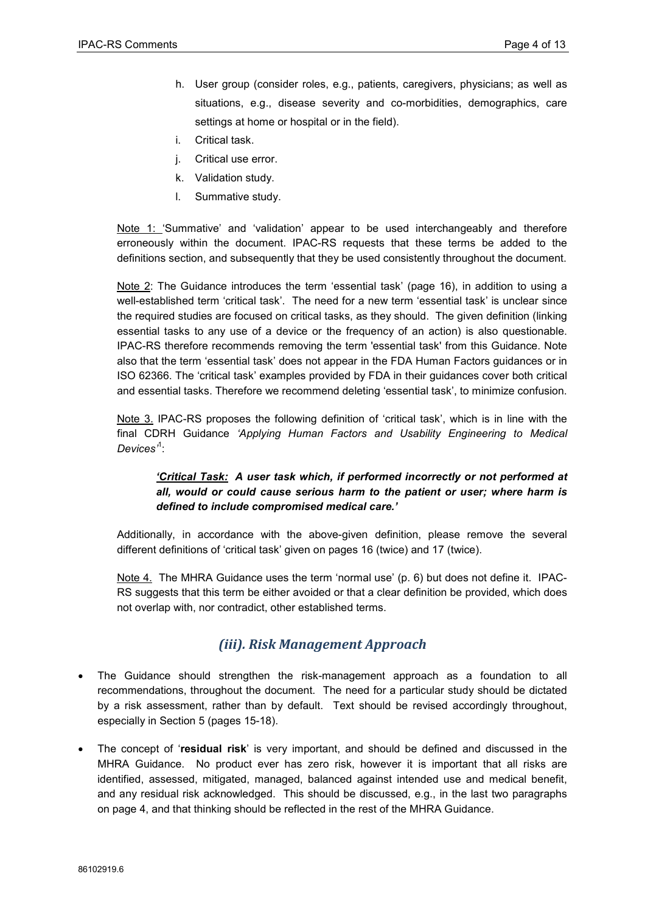- h. User group (consider roles, e.g., patients, caregivers, physicians; as well as situations, e.g., disease severity and co-morbidities, demographics, care settings at home or hospital or in the field).
- i. Critical task.
- j. Critical use error.
- k. Validation study.
- l. Summative study.

Note 1: 'Summative' and 'validation' appear to be used interchangeably and therefore erroneously within the document. IPAC-RS requests that these terms be added to the definitions section, and subsequently that they be used consistently throughout the document.

Note 2: The Guidance introduces the term 'essential task' (page 16), in addition to using a well-established term 'critical task'. The need for a new term 'essential task' is unclear since the required studies are focused on critical tasks, as they should. The given definition (linking essential tasks to any use of a device or the frequency of an action) is also questionable. IPAC-RS therefore recommends removing the term 'essential task' from this Guidance. Note also that the term 'essential task' does not appear in the FDA Human Factors guidances or in ISO 62366. The 'critical task' examples provided by FDA in their guidances cover both critical and essential tasks. Therefore we recommend deleting 'essential task', to minimize confusion.

Note 3. IPAC-RS proposes the following definition of 'critical task', which is in line with the final CDRH Guidance *'Applying Human Factors and Usability Engineering to Medical Devices'*<sup>1</sup> :

#### *'Critical Task: A user task which, if performed incorrectly or not performed at all, would or could cause serious harm to the patient or user; where harm is defined to include compromised medical care.'*

Additionally, in accordance with the above-given definition, please remove the several different definitions of 'critical task' given on pages 16 (twice) and 17 (twice).

Note 4. The MHRA Guidance uses the term 'normal use' (p. 6) but does not define it. IPAC-RS suggests that this term be either avoided or that a clear definition be provided, which does not overlap with, nor contradict, other established terms.

#### *(iii). Risk Management Approach*

- The Guidance should strengthen the risk-management approach as a foundation to all recommendations, throughout the document. The need for a particular study should be dictated by a risk assessment, rather than by default. Text should be revised accordingly throughout, especially in Section 5 (pages 15-18).
- The concept of '**residual risk**' is very important, and should be defined and discussed in the MHRA Guidance. No product ever has zero risk, however it is important that all risks are identified, assessed, mitigated, managed, balanced against intended use and medical benefit, and any residual risk acknowledged. This should be discussed, e.g., in the last two paragraphs on page 4, and that thinking should be reflected in the rest of the MHRA Guidance.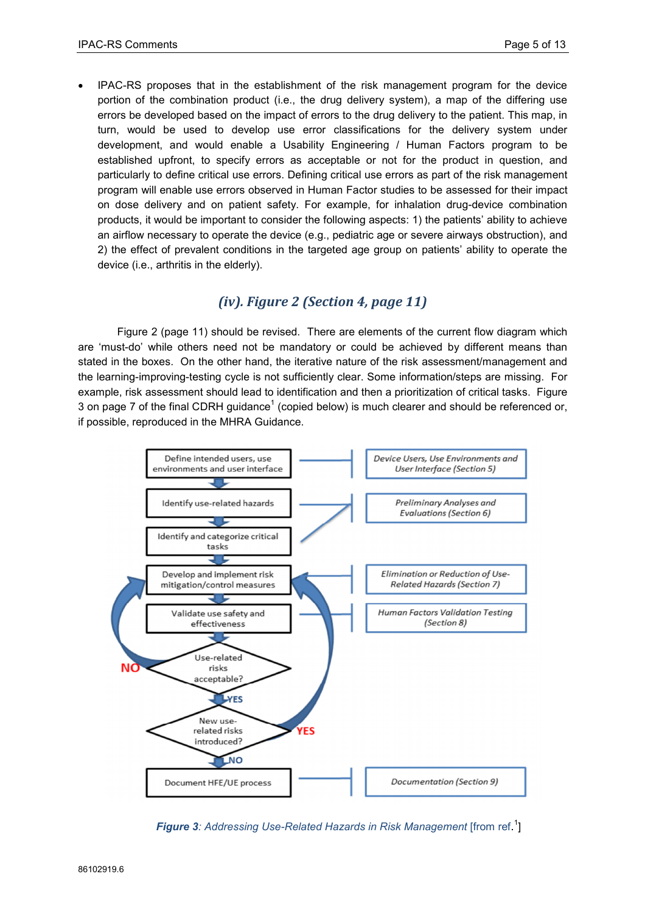• IPAC-RS proposes that in the establishment of the risk management program for the device portion of the combination product (i.e., the drug delivery system), a map of the differing use errors be developed based on the impact of errors to the drug delivery to the patient. This map, in turn, would be used to develop use error classifications for the delivery system under development, and would enable a Usability Engineering / Human Factors program to be established upfront, to specify errors as acceptable or not for the product in question, and particularly to define critical use errors. Defining critical use errors as part of the risk management program will enable use errors observed in Human Factor studies to be assessed for their impact on dose delivery and on patient safety. For example, for inhalation drug-device combination products, it would be important to consider the following aspects: 1) the patients' ability to achieve an airflow necessary to operate the device (e.g., pediatric age or severe airways obstruction), and 2) the effect of prevalent conditions in the targeted age group on patients' ability to operate the device (i.e., arthritis in the elderly).

#### *(iv). Figure 2 (Section 4, page 11)*

Figure 2 (page 11) should be revised. There are elements of the current flow diagram which are 'must-do' while others need not be mandatory or could be achieved by different means than stated in the boxes. On the other hand, the iterative nature of the risk assessment/management and the learning-improving-testing cycle is not sufficiently clear. Some information/steps are missing. For example, risk assessment should lead to identification and then a prioritization of critical tasks. Figure 3 on page 7 of the final CDRH guidance<sup>1</sup> (copied below) is much clearer and should be referenced or, if possible, reproduced in the MHRA Guidance.



*Figure 3: Addressing Use-Related Hazards in Risk Management* [from ref. 1 ]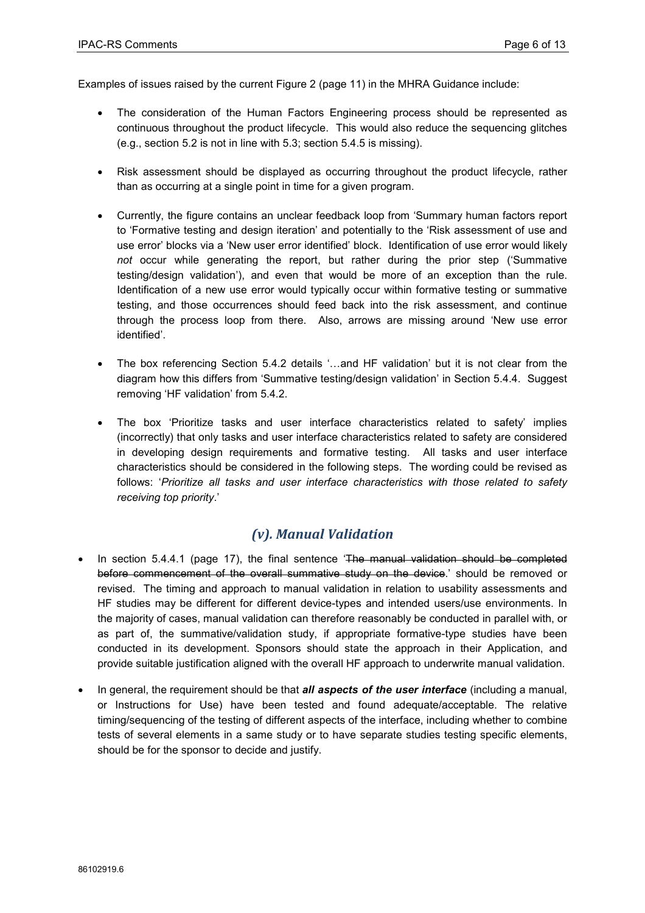Examples of issues raised by the current Figure 2 (page 11) in the MHRA Guidance include:

- The consideration of the Human Factors Engineering process should be represented as continuous throughout the product lifecycle. This would also reduce the sequencing glitches (e.g., section 5.2 is not in line with 5.3; section 5.4.5 is missing).
- Risk assessment should be displayed as occurring throughout the product lifecycle, rather than as occurring at a single point in time for a given program.
- Currently, the figure contains an unclear feedback loop from 'Summary human factors report to 'Formative testing and design iteration' and potentially to the 'Risk assessment of use and use error' blocks via a 'New user error identified' block. Identification of use error would likely *not* occur while generating the report, but rather during the prior step ('Summative testing/design validation'), and even that would be more of an exception than the rule. Identification of a new use error would typically occur within formative testing or summative testing, and those occurrences should feed back into the risk assessment, and continue through the process loop from there. Also, arrows are missing around 'New use error identified'.
- The box referencing Section 5.4.2 details '...and HF validation' but it is not clear from the diagram how this differs from 'Summative testing/design validation' in Section 5.4.4. Suggest removing 'HF validation' from 5.4.2.
- The box 'Prioritize tasks and user interface characteristics related to safety' implies (incorrectly) that only tasks and user interface characteristics related to safety are considered in developing design requirements and formative testing. All tasks and user interface characteristics should be considered in the following steps. The wording could be revised as follows: '*Prioritize all tasks and user interface characteristics with those related to safety receiving top priority*.'

#### *(v). Manual Validation*

- In section 5.4.4.1 (page 17), the final sentence 'The manual validation should be completed before commencement of the overall summative study on the device.' should be removed or revised. The timing and approach to manual validation in relation to usability assessments and HF studies may be different for different device-types and intended users/use environments. In the majority of cases, manual validation can therefore reasonably be conducted in parallel with, or as part of, the summative/validation study, if appropriate formative-type studies have been conducted in its development. Sponsors should state the approach in their Application, and provide suitable justification aligned with the overall HF approach to underwrite manual validation.
- In general, the requirement should be that *all aspects of the user interface* (including a manual, or Instructions for Use) have been tested and found adequate/acceptable. The relative timing/sequencing of the testing of different aspects of the interface, including whether to combine tests of several elements in a same study or to have separate studies testing specific elements, should be for the sponsor to decide and justify.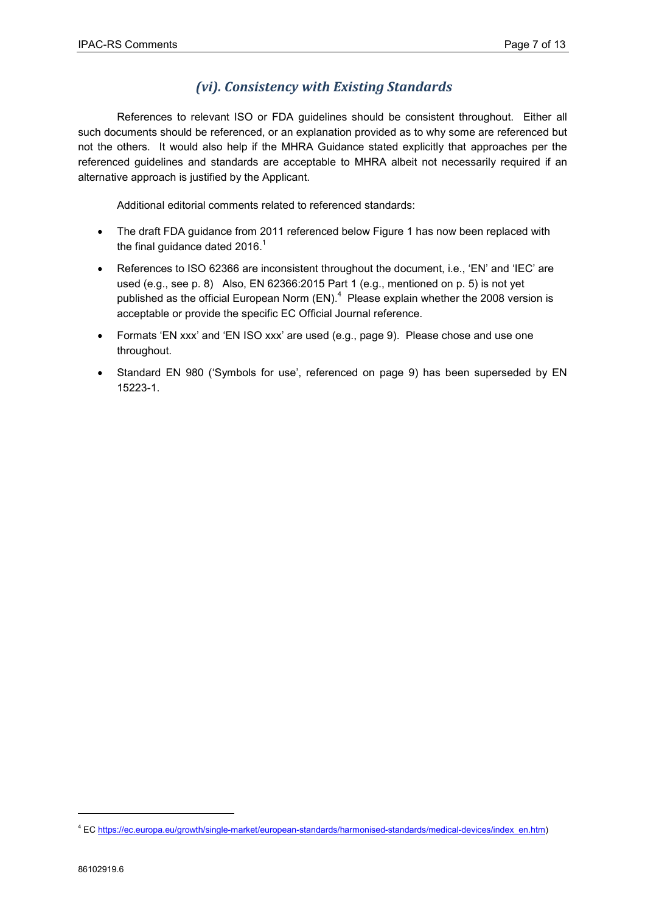### *(vi). Consistency with Existing Standards*

References to relevant ISO or FDA guidelines should be consistent throughout. Either all such documents should be referenced, or an explanation provided as to why some are referenced but not the others. It would also help if the MHRA Guidance stated explicitly that approaches per the referenced guidelines and standards are acceptable to MHRA albeit not necessarily required if an alternative approach is justified by the Applicant.

Additional editorial comments related to referenced standards:

- The draft FDA guidance from 2011 referenced below Figure 1 has now been replaced with the final guidance dated  $2016<sup>1</sup>$
- References to ISO 62366 are inconsistent throughout the document, i.e., 'EN' and 'IEC' are used (e.g., see p. 8) Also, EN 62366:2015 Part 1 (e.g., mentioned on p. 5) is not yet published as the official European Norm  $(EN)^4$  Please explain whether the 2008 version is acceptable or provide the specific EC Official Journal reference.
- Formats 'EN xxx' and 'EN ISO xxx' are used (e.g., page 9). Please chose and use one throughout.
- Standard EN 980 ('Symbols for use', referenced on page 9) has been superseded by EN 15223-1.

l

<sup>&</sup>lt;sup>4</sup> EC https://ec.europa.eu/growth/single-market/european-standards/harmonised-standards/medical-devices/index\_en.htm)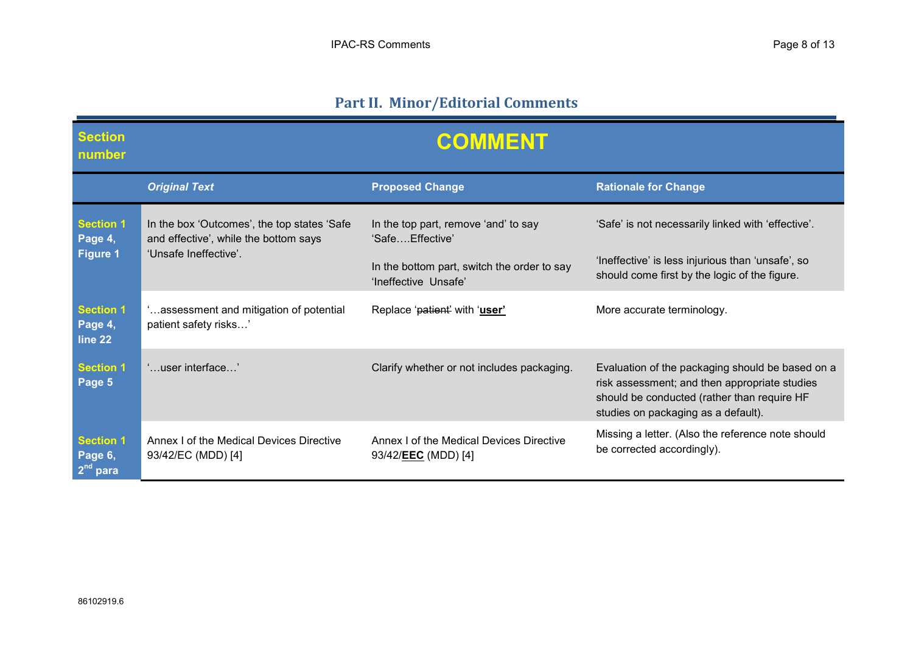# **Part II. Minor/Editorial Comments**

| <b>Section</b><br>number                       | <b>COMMENT</b>                                                                                                |                                                                         |                                                                                                                                                                                         |
|------------------------------------------------|---------------------------------------------------------------------------------------------------------------|-------------------------------------------------------------------------|-----------------------------------------------------------------------------------------------------------------------------------------------------------------------------------------|
|                                                | <b>Original Text</b>                                                                                          | <b>Proposed Change</b>                                                  | <b>Rationale for Change</b>                                                                                                                                                             |
| <b>Section 1</b><br>Page 4,<br><b>Figure 1</b> | In the box 'Outcomes', the top states 'Safe<br>and effective', while the bottom says<br>'Unsafe Ineffective'. | In the top part, remove 'and' to say<br>'SafeEffective'                 | 'Safe' is not necessarily linked with 'effective'.                                                                                                                                      |
|                                                |                                                                                                               | In the bottom part, switch the order to say<br>'Ineffective Unsafe'     | 'Ineffective' is less injurious than 'unsafe', so<br>should come first by the logic of the figure.                                                                                      |
| <b>Section 1</b><br>Page 4,<br>line 22         | assessment and mitigation of potential<br>patient safety risks'                                               | Replace 'patient' with 'user'                                           | More accurate terminology.                                                                                                                                                              |
| <b>Section 1</b><br>Page 5                     | 'user interface'                                                                                              | Clarify whether or not includes packaging.                              | Evaluation of the packaging should be based on a<br>risk assessment; and then appropriate studies<br>should be conducted (rather than require HF<br>studies on packaging as a default). |
| <b>Section 1</b><br>Page 6,<br>$2^{nd}$ para   | Annex I of the Medical Devices Directive<br>93/42/EC (MDD) [4]                                                | Annex I of the Medical Devices Directive<br>93/42/ <b>EEC</b> (MDD) [4] | Missing a letter. (Also the reference note should<br>be corrected accordingly).                                                                                                         |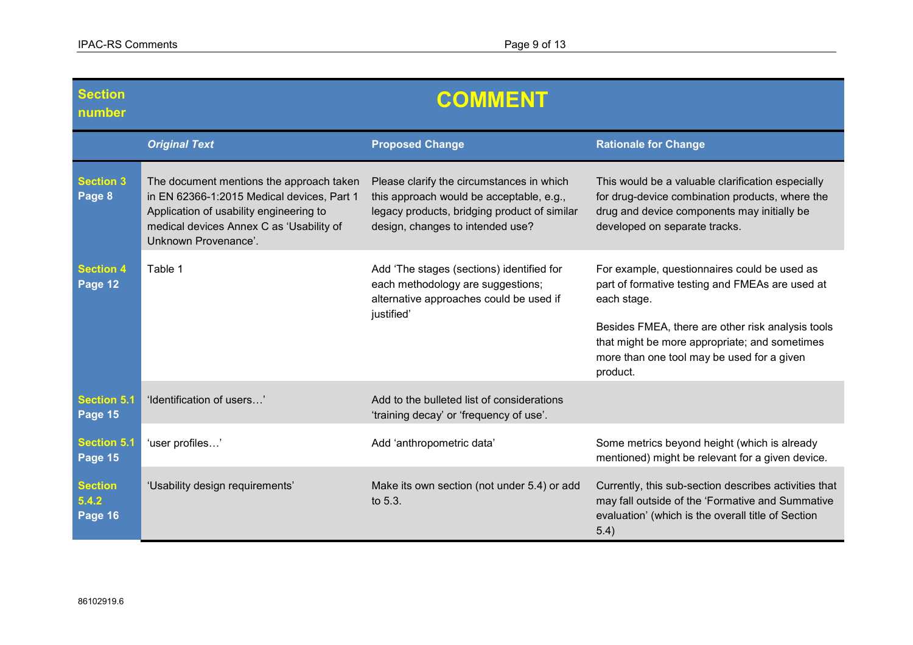| <b>Section</b><br>number           | <b>COMMENT</b>                                                                                                                                                                                        |                                                                                                                                                                           |                                                                                                                                                                                                                                                                                |
|------------------------------------|-------------------------------------------------------------------------------------------------------------------------------------------------------------------------------------------------------|---------------------------------------------------------------------------------------------------------------------------------------------------------------------------|--------------------------------------------------------------------------------------------------------------------------------------------------------------------------------------------------------------------------------------------------------------------------------|
|                                    | <b>Original Text</b>                                                                                                                                                                                  | <b>Proposed Change</b>                                                                                                                                                    | <b>Rationale for Change</b>                                                                                                                                                                                                                                                    |
| <b>Section 3</b><br>Page 8         | The document mentions the approach taken<br>in EN 62366-1:2015 Medical devices, Part 1<br>Application of usability engineering to<br>medical devices Annex C as 'Usability of<br>Unknown Provenance'. | Please clarify the circumstances in which<br>this approach would be acceptable, e.g.,<br>legacy products, bridging product of similar<br>design, changes to intended use? | This would be a valuable clarification especially<br>for drug-device combination products, where the<br>drug and device components may initially be<br>developed on separate tracks.                                                                                           |
| <b>Section 4</b><br>Page 12        | Table 1                                                                                                                                                                                               | Add 'The stages (sections) identified for<br>each methodology are suggestions;<br>alternative approaches could be used if<br>justified'                                   | For example, questionnaires could be used as<br>part of formative testing and FMEAs are used at<br>each stage.<br>Besides FMEA, there are other risk analysis tools<br>that might be more appropriate; and sometimes<br>more than one tool may be used for a given<br>product. |
| <b>Section 5.1</b><br>Page 15      | 'Identification of users'                                                                                                                                                                             | Add to the bulleted list of considerations<br>'training decay' or 'frequency of use'.                                                                                     |                                                                                                                                                                                                                                                                                |
| Section 5.1<br>Page 15             | 'user profiles'                                                                                                                                                                                       | Add 'anthropometric data'                                                                                                                                                 | Some metrics beyond height (which is already<br>mentioned) might be relevant for a given device.                                                                                                                                                                               |
| <b>Section</b><br>5.4.2<br>Page 16 | 'Usability design requirements'                                                                                                                                                                       | Make its own section (not under 5.4) or add<br>to 5.3.                                                                                                                    | Currently, this sub-section describes activities that<br>may fall outside of the 'Formative and Summative<br>evaluation' (which is the overall title of Section<br>5.4)                                                                                                        |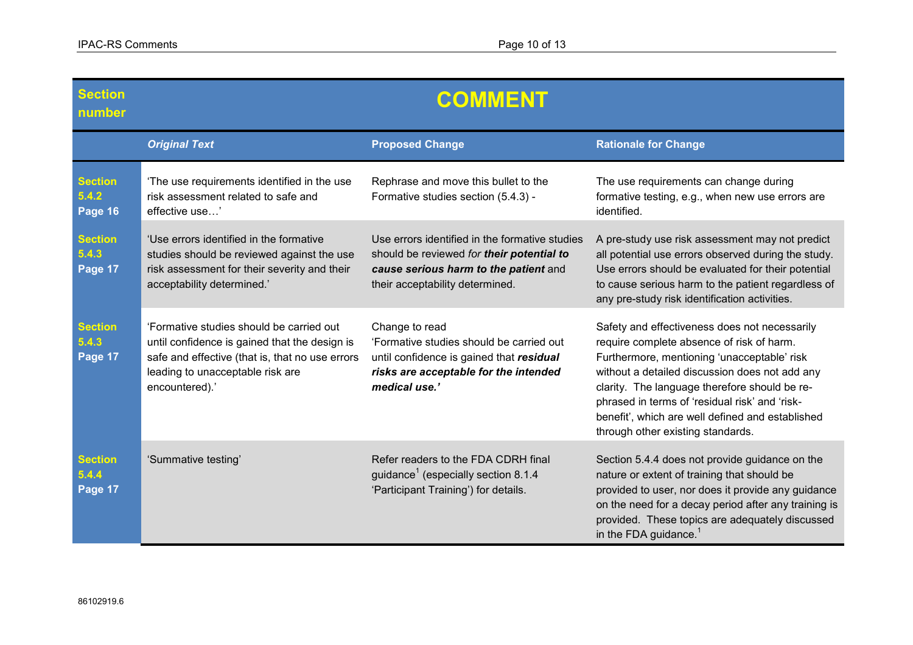| <b>Section</b><br>number           | <b>COMMENT</b>                                                                                                                                                                                     |                                                                                                                                                                         |                                                                                                                                                                                                                                                                                                                                                                                         |
|------------------------------------|----------------------------------------------------------------------------------------------------------------------------------------------------------------------------------------------------|-------------------------------------------------------------------------------------------------------------------------------------------------------------------------|-----------------------------------------------------------------------------------------------------------------------------------------------------------------------------------------------------------------------------------------------------------------------------------------------------------------------------------------------------------------------------------------|
|                                    | <b>Original Text</b>                                                                                                                                                                               | <b>Proposed Change</b>                                                                                                                                                  | <b>Rationale for Change</b>                                                                                                                                                                                                                                                                                                                                                             |
| <b>Section</b><br>5.4.2<br>Page 16 | The use requirements identified in the use<br>risk assessment related to safe and<br>effective use'                                                                                                | Rephrase and move this bullet to the<br>Formative studies section (5.4.3) -                                                                                             | The use requirements can change during<br>formative testing, e.g., when new use errors are<br>identified.                                                                                                                                                                                                                                                                               |
| <b>Section</b><br>5.4.3<br>Page 17 | 'Use errors identified in the formative<br>studies should be reviewed against the use<br>risk assessment for their severity and their<br>acceptability determined.'                                | Use errors identified in the formative studies<br>should be reviewed for their potential to<br>cause serious harm to the patient and<br>their acceptability determined. | A pre-study use risk assessment may not predict<br>all potential use errors observed during the study.<br>Use errors should be evaluated for their potential<br>to cause serious harm to the patient regardless of<br>any pre-study risk identification activities.                                                                                                                     |
| <b>Section</b><br>5.4.3<br>Page 17 | 'Formative studies should be carried out<br>until confidence is gained that the design is<br>safe and effective (that is, that no use errors<br>leading to unacceptable risk are<br>encountered).' | Change to read<br>'Formative studies should be carried out<br>until confidence is gained that residual<br>risks are acceptable for the intended<br>medical use.'        | Safety and effectiveness does not necessarily<br>require complete absence of risk of harm.<br>Furthermore, mentioning 'unacceptable' risk<br>without a detailed discussion does not add any<br>clarity. The language therefore should be re-<br>phrased in terms of 'residual risk' and 'risk-<br>benefit', which are well defined and established<br>through other existing standards. |
| <b>Section</b><br>5.4.4<br>Page 17 | 'Summative testing'                                                                                                                                                                                | Refer readers to the FDA CDRH final<br>guidance <sup>1</sup> (especially section 8.1.4<br>'Participant Training') for details.                                          | Section 5.4.4 does not provide guidance on the<br>nature or extent of training that should be<br>provided to user, nor does it provide any guidance<br>on the need for a decay period after any training is<br>provided. These topics are adequately discussed<br>in the FDA guidance. $1$                                                                                              |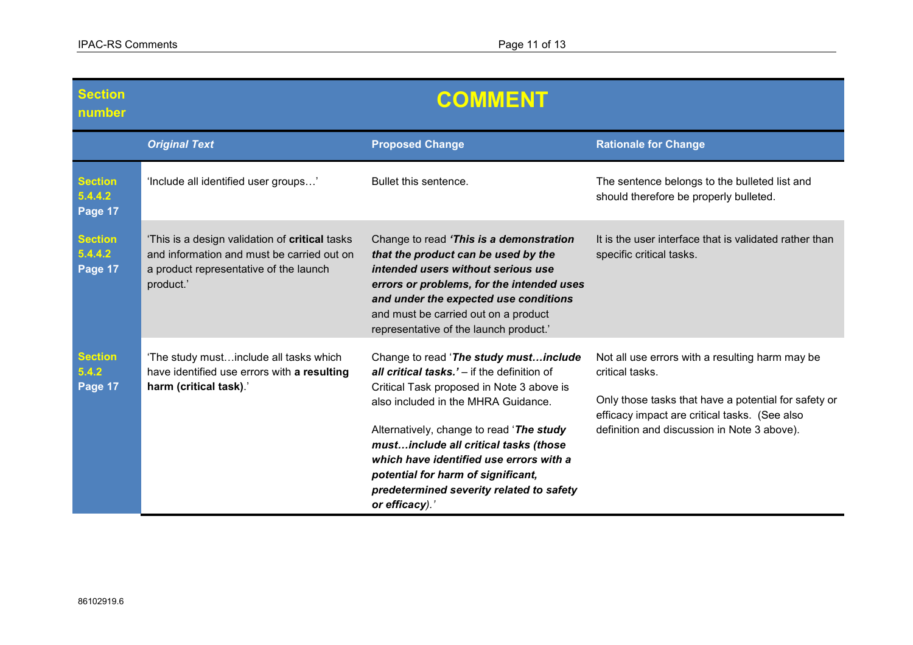| <b>Section</b><br>number             | <b>COMMENT</b>                                                                                                                                      |                                                                                                                                                                                                                                                                                                                                                                                                              |                                                                                                                                                                                                                            |
|--------------------------------------|-----------------------------------------------------------------------------------------------------------------------------------------------------|--------------------------------------------------------------------------------------------------------------------------------------------------------------------------------------------------------------------------------------------------------------------------------------------------------------------------------------------------------------------------------------------------------------|----------------------------------------------------------------------------------------------------------------------------------------------------------------------------------------------------------------------------|
|                                      | <b>Original Text</b>                                                                                                                                | <b>Proposed Change</b>                                                                                                                                                                                                                                                                                                                                                                                       | <b>Rationale for Change</b>                                                                                                                                                                                                |
| <b>Section</b><br>5.4.4.2<br>Page 17 | 'Include all identified user groups'                                                                                                                | Bullet this sentence.                                                                                                                                                                                                                                                                                                                                                                                        | The sentence belongs to the bulleted list and<br>should therefore be properly bulleted.                                                                                                                                    |
| <b>Section</b><br>5.4.4.2<br>Page 17 | 'This is a design validation of critical tasks<br>and information and must be carried out on<br>a product representative of the launch<br>product.' | Change to read 'This is a demonstration<br>that the product can be used by the<br>intended users without serious use<br>errors or problems, for the intended uses<br>and under the expected use conditions<br>and must be carried out on a product<br>representative of the launch product.'                                                                                                                 | It is the user interface that is validated rather than<br>specific critical tasks.                                                                                                                                         |
| <b>Section</b><br>5.4.2<br>Page 17   | 'The study mustinclude all tasks which<br>have identified use errors with a resulting<br>harm (critical task).'                                     | Change to read 'The study mustinclude<br>all critical tasks.' - if the definition of<br>Critical Task proposed in Note 3 above is<br>also included in the MHRA Guidance.<br>Alternatively, change to read 'The study<br>mustinclude all critical tasks (those<br>which have identified use errors with a<br>potential for harm of significant,<br>predetermined severity related to safety<br>or efficacy).' | Not all use errors with a resulting harm may be<br>critical tasks.<br>Only those tasks that have a potential for safety or<br>efficacy impact are critical tasks. (See also<br>definition and discussion in Note 3 above). |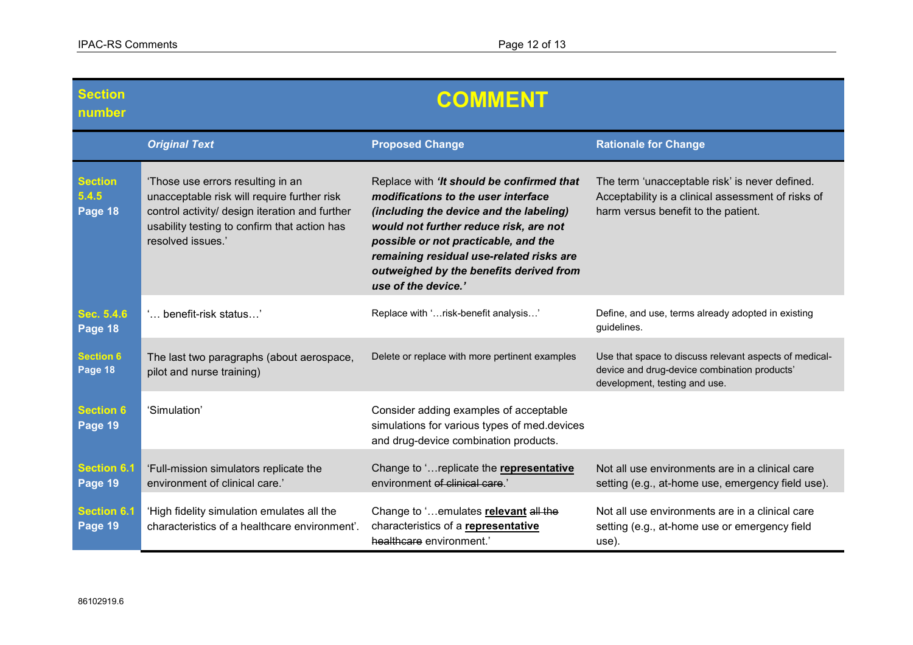| <b>Section</b><br>number           | <b>COMMENT</b>                                                                                                                                                                                          |                                                                                                                                                                                                                                                                                                                             |                                                                                                                                             |
|------------------------------------|---------------------------------------------------------------------------------------------------------------------------------------------------------------------------------------------------------|-----------------------------------------------------------------------------------------------------------------------------------------------------------------------------------------------------------------------------------------------------------------------------------------------------------------------------|---------------------------------------------------------------------------------------------------------------------------------------------|
|                                    | <b>Original Text</b>                                                                                                                                                                                    | <b>Proposed Change</b>                                                                                                                                                                                                                                                                                                      | <b>Rationale for Change</b>                                                                                                                 |
| <b>Section</b><br>5.4.5<br>Page 18 | 'Those use errors resulting in an<br>unacceptable risk will require further risk<br>control activity/ design iteration and further<br>usability testing to confirm that action has<br>resolved issues.' | Replace with 'It should be confirmed that<br>modifications to the user interface<br>(including the device and the labeling)<br>would not further reduce risk, are not<br>possible or not practicable, and the<br>remaining residual use-related risks are<br>outweighed by the benefits derived from<br>use of the device.' | The term 'unacceptable risk' is never defined.<br>Acceptability is a clinical assessment of risks of<br>harm versus benefit to the patient. |
| Sec. 5.4.6<br>Page 18              | ' benefit-risk status'                                                                                                                                                                                  | Replace with 'risk-benefit analysis'                                                                                                                                                                                                                                                                                        | Define, and use, terms already adopted in existing<br>guidelines.                                                                           |
| <b>Section 6</b><br>Page 18        | The last two paragraphs (about aerospace,<br>pilot and nurse training)                                                                                                                                  | Delete or replace with more pertinent examples                                                                                                                                                                                                                                                                              | Use that space to discuss relevant aspects of medical-<br>device and drug-device combination products'<br>development, testing and use.     |
| <b>Section 6</b><br>Page 19        | 'Simulation'                                                                                                                                                                                            | Consider adding examples of acceptable<br>simulations for various types of med.devices<br>and drug-device combination products.                                                                                                                                                                                             |                                                                                                                                             |
| <b>Section 6.1</b><br>Page 19      | 'Full-mission simulators replicate the<br>environment of clinical care.'                                                                                                                                | Change to ' replicate the representative<br>environment of clinical care.'                                                                                                                                                                                                                                                  | Not all use environments are in a clinical care<br>setting (e.g., at-home use, emergency field use).                                        |
| <b>Section 6.1</b><br>Page 19      | 'High fidelity simulation emulates all the<br>characteristics of a healthcare environment'.                                                                                                             | Change to 'emulates relevant all the<br>characteristics of a representative<br>healthcare environment.'                                                                                                                                                                                                                     | Not all use environments are in a clinical care<br>setting (e.g., at-home use or emergency field<br>use).                                   |